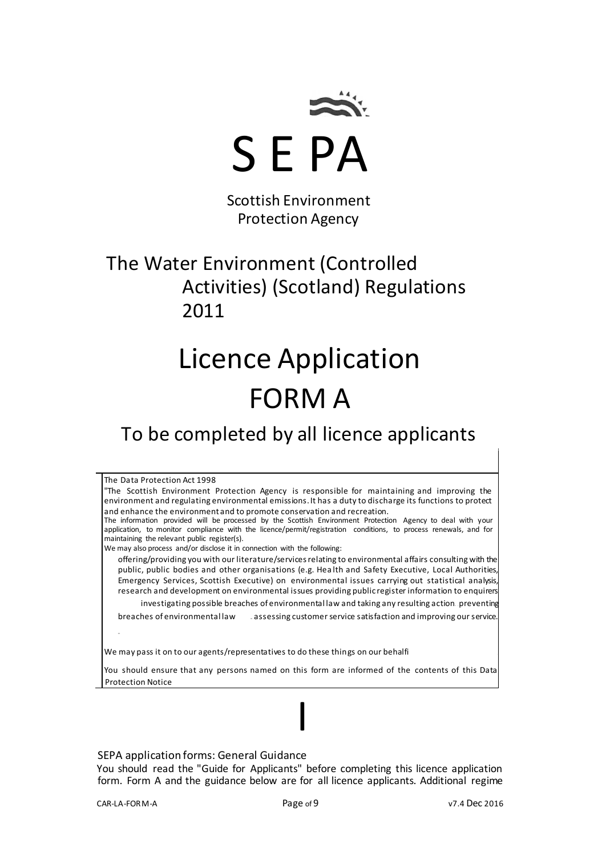

Scottish Environment Protection Agency

# The Water Environment (Controlled Activities) (Scotland) Regulations 2011

# Licence Application FORM A

# To be completed by all licence applicants

The Data Protection Act 1998 "The Scottish Environment Protection Agency is responsible for maintaining and improving the environment and regulating environmental emissions. It has a duty to discharge its functions to protect and enhance the environment and to promote conservation and recreation. The information provided will be processed by the Scottish Environment Protection Agency to deal with your application, to monitor compliance with the licence/permit/registration conditions, to process renewals, and for maintaining the relevant public register(s). We may also process and/or disclose it in connection with the following: offering/providing you with our literature/services relating to environmental affairs consulting with the public, public bodies and other organisations (e.g. Hea lth and Safety Executive, Local Authorities, Emergency Services, Scottish Executive) on environmental issues carrying out statistical analysis, research and development on environmental issues providing public register information to enquirers investigating possible breaches of environmental law and taking any resulting action. preventing breaches of environmental law assessing customer service satisfaction and improving our service. We may pass it on to our agents/representatives to do these things on our behalfi You should ensure that any persons named on this form are informed of the contents of this Data Protection Notice

#### SEPA application forms: General Guidance

You should read the "Guide for Applicants" before completing this licence application form. Form A and the guidance below are for all licence applicants. Additional regime

I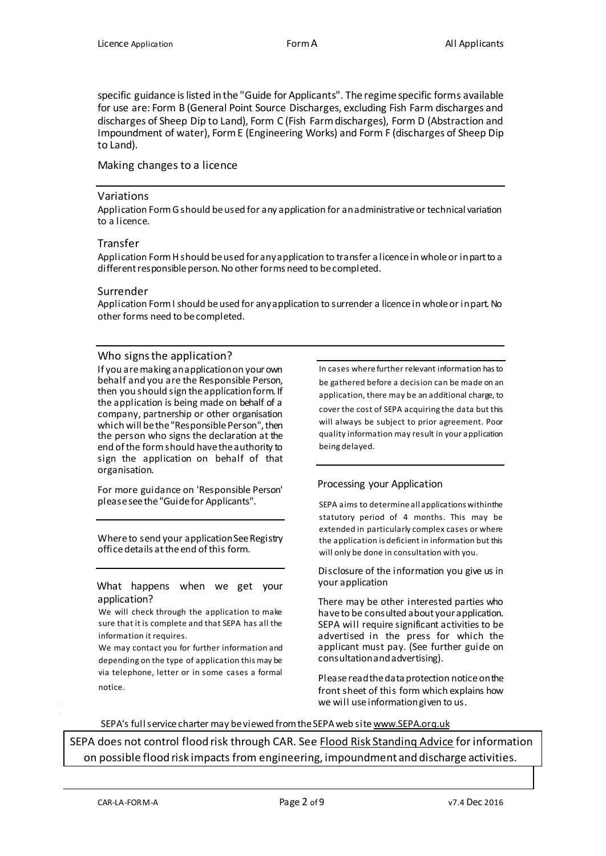specific guidance is listed in the "Guide for Applicants". The regime specific forms available for use are: Form B (General Point Source Discharges, excluding Fish Farm discharges and discharges of Sheep Dip to Land), Form C (Fish Farm discharges), Form D (Abstraction and Impoundment of water), Form E (Engineering Works) and Form F (discharges of Sheep Dip to Land).

#### Making changes to a licence

#### Variations

Application Form G should be used for any application for an administrative or technical variation to a licence.

#### Transfer

Application Form H should be used for any application to transfer a licence in whole or in part to a different responsible person. No other forms need to be completed.

#### Surrender

Application Form I should be used for any application to surrender a licence in whole or in part. No other forms need to be completed.

#### Who signs the application?

If you are making an application on your own behalf and you are the Responsible Person, then you should sign the application form. If the application is being made on behalf of a company, partnership or other organisation which will be the "Responsible Person", then the person who signs the declaration at the end of the form should have the authority to sign the application on behalf of that organisation.

For more guidance on 'Responsible Person' please see the "Guide for Applicants".

Where to send your application See Registry office details at the end of this form.

What happens when we get your application?

We will check through the application to make sure that it is complete and that SEPA has all the information it requires.

We may contact you for further information and depending on the type of application this may be via telephone, letter or in some cases a formal notice.

In cases where further relevant information has to be gathered before a decision can be made on an application, there may be an additional charge, to cover the cost of SEPA acquiring the data but this will always be subject to prior agreement. Poor quality information may result in your application being delayed.

#### Processing your Application

SEPA aims to determine all applications within the statutory period of 4 months. This may be extended in particularly complex cases or where the application is deficient in information but this will only be done in consultation with you.

Disclosure of the information you give us in your application

There may be other interested parties who have to be consulted about your application. SEPA will require significant activities to be advertised in the press for which the applicant must pay. (See further guide on consultation and advertising).

Please read the data protection notice on the front sheet of this form which explains how we will use information given to us.

#### SEPA's full service charter may be viewed from the SEPA web site www.SEPA.orq.uk

SEPA does not control flood risk through CAR. See Flood Risk Standinq Advice for information on possible flood risk impacts from engineering, impoundment and discharge activities.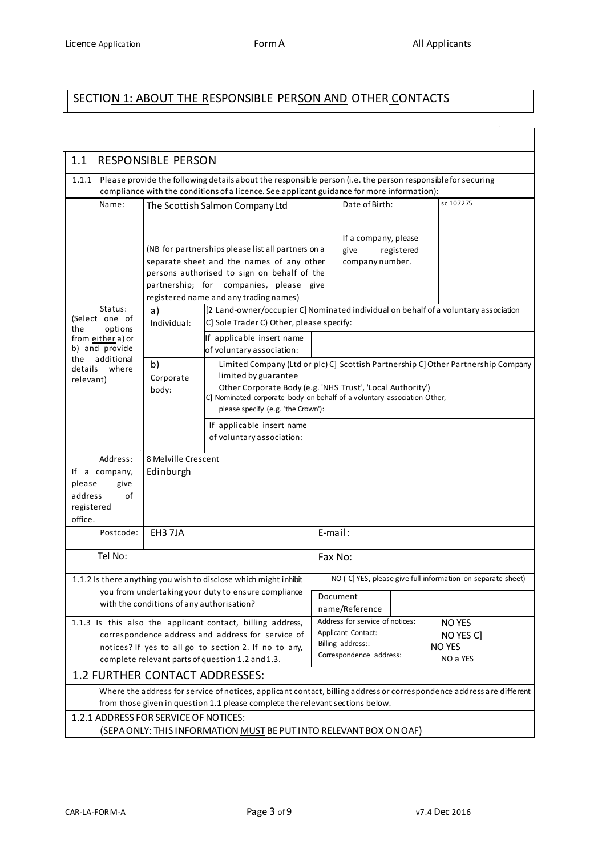$\overline{1}$ 

# SECTION 1: ABOUT THE RESPONSIBLE PERSON AND OTHER CONTACTS

| 1.1                                                                                                                                                                                                                                                                                                                                                                                       | <b>RESPONSIBLE PERSON</b>                                                                                                                                                                                 |                                                                                                                                                                                                     |          |                                                 |                |                                                                                                                      |  |
|-------------------------------------------------------------------------------------------------------------------------------------------------------------------------------------------------------------------------------------------------------------------------------------------------------------------------------------------------------------------------------------------|-----------------------------------------------------------------------------------------------------------------------------------------------------------------------------------------------------------|-----------------------------------------------------------------------------------------------------------------------------------------------------------------------------------------------------|----------|-------------------------------------------------|----------------|----------------------------------------------------------------------------------------------------------------------|--|
| 1.1.1                                                                                                                                                                                                                                                                                                                                                                                     | Please provide the following details about the responsible person (i.e. the person responsible for securing<br>compliance with the conditions of a licence. See applicant guidance for more information): |                                                                                                                                                                                                     |          |                                                 |                |                                                                                                                      |  |
| Name:                                                                                                                                                                                                                                                                                                                                                                                     | The Scottish Salmon Company Ltd                                                                                                                                                                           |                                                                                                                                                                                                     |          |                                                 | Date of Birth: | sc 107275                                                                                                            |  |
| (NB for partnerships please list all partners on a<br>separate sheet and the names of any other<br>persons authorised to sign on behalf of the<br>partnership; for companies, please give<br>registered name and any trading names)                                                                                                                                                       |                                                                                                                                                                                                           |                                                                                                                                                                                                     |          | If a company, please<br>give<br>company number. | registered     |                                                                                                                      |  |
| Status:<br>(Select one of                                                                                                                                                                                                                                                                                                                                                                 | [2 Land-owner/occupier C] Nominated individual on behalf of a voluntary association<br>a)<br>C] Sole Trader C) Other, please specify:<br>Individual:                                                      |                                                                                                                                                                                                     |          |                                                 |                |                                                                                                                      |  |
| the<br>options<br>from either a) or<br>b) and provide                                                                                                                                                                                                                                                                                                                                     |                                                                                                                                                                                                           | If applicable insert name<br>of voluntary association:                                                                                                                                              |          |                                                 |                |                                                                                                                      |  |
| additional<br>the<br>details<br>where<br>relevant)                                                                                                                                                                                                                                                                                                                                        | b)<br>Corporate<br>body:                                                                                                                                                                                  | limited by guarantee<br>Other Corporate Body (e.g. 'NHS Trust', 'Local Authority')<br>C] Nominated corporate body on behalf of a voluntary association Other,<br>please specify (e.g. 'the Crown'): |          |                                                 |                | Limited Company (Ltd or plc) C] Scottish Partnership C] Other Partnership Company                                    |  |
|                                                                                                                                                                                                                                                                                                                                                                                           |                                                                                                                                                                                                           | If applicable insert name<br>of voluntary association:                                                                                                                                              |          |                                                 |                |                                                                                                                      |  |
| Address:<br>If a company,<br>please<br>give<br>of<br>address<br>registered<br>office.                                                                                                                                                                                                                                                                                                     | 8 Melville Crescent<br>Edinburgh                                                                                                                                                                          |                                                                                                                                                                                                     |          |                                                 |                |                                                                                                                      |  |
| Postcode:                                                                                                                                                                                                                                                                                                                                                                                 | EH3 7JA                                                                                                                                                                                                   |                                                                                                                                                                                                     | E-mail:  |                                                 |                |                                                                                                                      |  |
| Tel No:                                                                                                                                                                                                                                                                                                                                                                                   |                                                                                                                                                                                                           |                                                                                                                                                                                                     | Fax No:  |                                                 |                |                                                                                                                      |  |
|                                                                                                                                                                                                                                                                                                                                                                                           | with the conditions of any authorisation?                                                                                                                                                                 | 1.1.2 Is there anything you wish to disclose which might inhibit<br>you from undertaking your duty to ensure compliance                                                                             | Document | name/Reference                                  |                | NO (C] YES, please give full information on separate sheet)                                                          |  |
| Address for service of notices:<br>1.1.3 Is this also the applicant contact, billing address,<br>NO YES<br>Applicant Contact:<br>correspondence address and address for service of<br>NO YES C]<br>Billing address::<br><b>NO YES</b><br>notices? If yes to all go to section 2. If no to any,<br>Correspondence address:<br>NO a YES<br>complete relevant parts of question 1.2 and 1.3. |                                                                                                                                                                                                           |                                                                                                                                                                                                     |          |                                                 |                |                                                                                                                      |  |
| 1.2 FURTHER CONTACT ADDRESSES:                                                                                                                                                                                                                                                                                                                                                            |                                                                                                                                                                                                           |                                                                                                                                                                                                     |          |                                                 |                |                                                                                                                      |  |
|                                                                                                                                                                                                                                                                                                                                                                                           |                                                                                                                                                                                                           | from those given in question 1.1 please complete the relevant sections below.                                                                                                                       |          |                                                 |                | Where the address for service of notices, applicant contact, billing address or correspondence address are different |  |
| 1.2.1 ADDRESS FOR SERVICE OF NOTICES:                                                                                                                                                                                                                                                                                                                                                     |                                                                                                                                                                                                           | (SEPA ONLY: THIS INFORMATION MUST BE PUT INTO RELEVANT BOX ON OAF)                                                                                                                                  |          |                                                 |                |                                                                                                                      |  |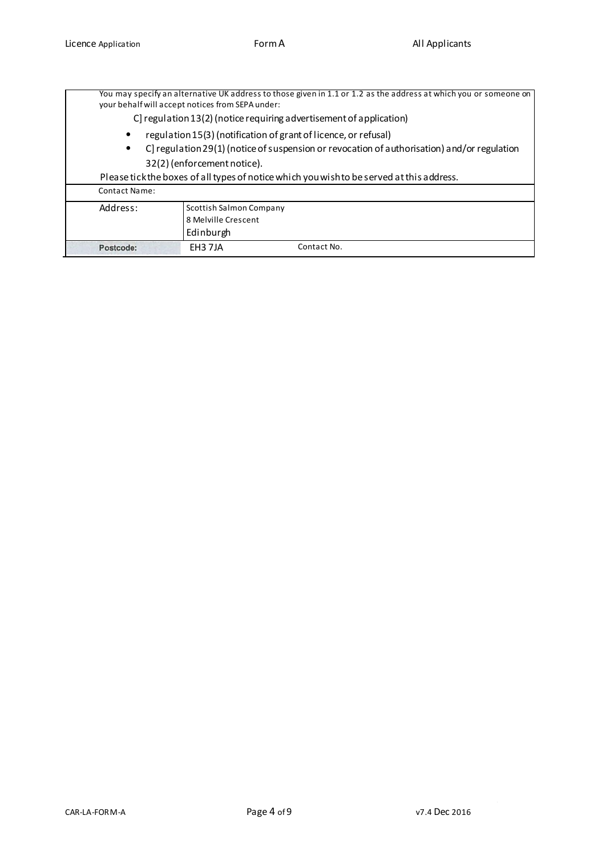|                      | your behalf will accept notices from SEPA under:                                                                                                               | You may specify an alternative UK address to those given in 1.1 or 1.2 as the address at which you or someone on |  |  |  |  |
|----------------------|----------------------------------------------------------------------------------------------------------------------------------------------------------------|------------------------------------------------------------------------------------------------------------------|--|--|--|--|
|                      | C regulation 13(2) (notice requiring advertisement of application)                                                                                             |                                                                                                                  |  |  |  |  |
| ٠<br>٠               | regulation 15(3) (notification of grant of licence, or refusal)<br>C] regulation 29(1) (notice of suspension or revocation of authorisation) and/or regulation |                                                                                                                  |  |  |  |  |
|                      | 32(2) (enforcement notice).                                                                                                                                    |                                                                                                                  |  |  |  |  |
|                      |                                                                                                                                                                | Please tick the boxes of all types of notice which you wish to be served at this address.                        |  |  |  |  |
| <b>Contact Name:</b> |                                                                                                                                                                |                                                                                                                  |  |  |  |  |
| Address:             | Scottish Salmon Company<br>8 Melville Crescent<br>Edinburgh                                                                                                    |                                                                                                                  |  |  |  |  |
| Postcode:            | EH3 7JA<br>Contact No.                                                                                                                                         |                                                                                                                  |  |  |  |  |

 $\sim$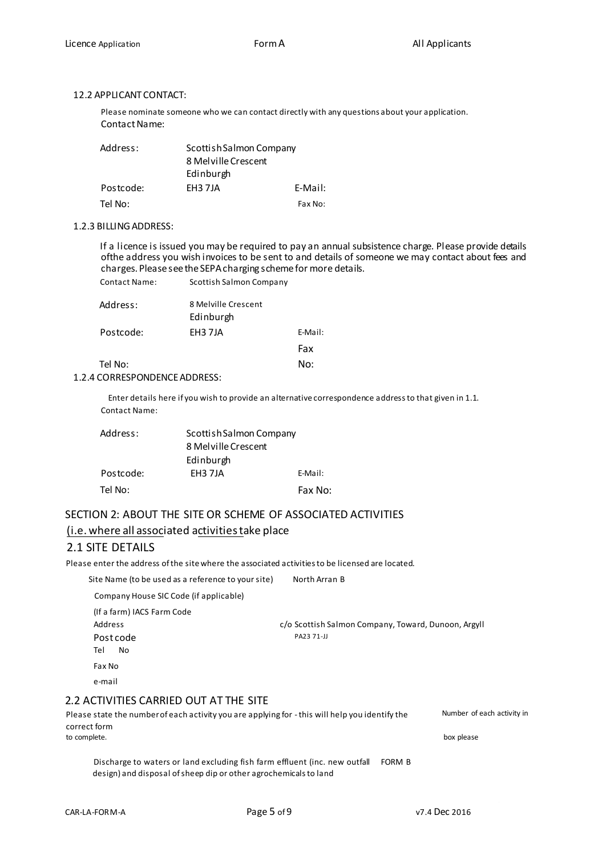#### 12.2 APPLICANT CONTACT:

Please nominate someone who we can contact directly with any questions about your application. Contact Name:

| Address:  | Scottish Salmon Company |         |
|-----------|-------------------------|---------|
|           | 8 Mel ville Crescent    |         |
|           | Edinburgh               |         |
| Postcode: | EH3 7JA                 | E-Mail: |
| Tel No:   |                         | Fax No: |

#### 1.2.3 BILLING ADDRESS:

If a licence is issued you may be required to pay an annual subsistence charge. Please provide details ofthe address you wish invoices to be sent to and details of someone we may contact about fees and charges. Please see the SEPA charging scheme for more details. Contact Name: Scottish Salmon Company

| Address:  | 8 Melville Crescent |         |
|-----------|---------------------|---------|
|           | Edinburgh           |         |
| Postcode: | EH3 7JA             | E-Mail: |
|           |                     | Fax     |
| Tel No:   |                     | No:     |

#### 1.2.4 CORRESPONDENCE ADDRESS:

Enter details here if you wish to provide an alternative correspondence address to that given in 1.1. Contact Name:

| Address:  | Scottish Salmon Company |         |
|-----------|-------------------------|---------|
|           | 8 Mel ville Crescent    |         |
|           | Edinburgh               |         |
| Postcode: | EH3 7JA                 | E-Mail: |
| Tel No:   |                         | Fax No: |

# SECTION 2: ABOUT THE SITE OR SCHEME OF ASSOCIATED ACTIVITIES (i.e. where all associated activities take place

#### 2.1 SITE DETAILS

Please enter the address of the site where the associated activities to be licensed are located.

Site Name (to be used as a reference to your site) North Arran B

Company House SIC Code (if applicable)

(If a farm) IACS Farm Code Address c/o Scottish Salmon Company, Toward, Dunoon, Argyll Post code PA23 71-JJ

Tel No

Fax No

e-mail

#### 2.2 ACTIVITIES CARRIED OUT AT THE SITE

#### Please state the number of each activity you are applying for -this will help you identify the correct form<br>to complete. to complete. box please

Discharge to waters or land excluding fish farm effluent (inc. new outfall FORM Bdesign) and disposal of sheep dip or other agrochemicals to land

Number of each activity in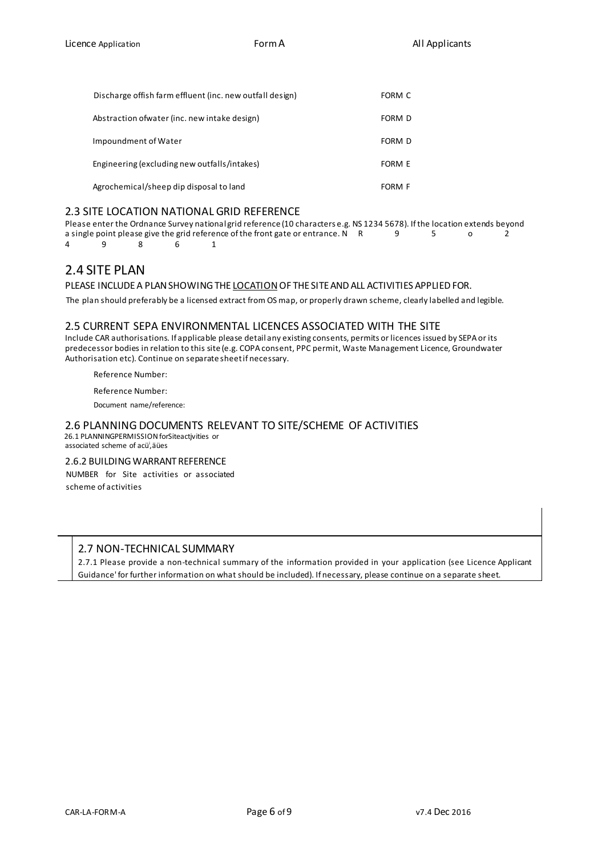| Discharge offish farm effluent (inc. new outfall design) | FORM C        |
|----------------------------------------------------------|---------------|
| Abstraction of water (inc. new intake design)            | FORM D        |
| Impoundment of Water                                     | FORM D        |
| Engineering (excluding new outfalls/intakes)             | <b>FORM E</b> |
| Agrochemical/sheep dip disposal to land                  | FORM F        |

#### 2.3 SITE LOCATION NATIONAL GRID REFERENCE

Please enter the Ordnance Survey national grid reference (10 characters e.g. NS 1234 5678). If the location extends beyond<br>a single point please give the grid reference of the front gate or entrance. N R 9 5 0 2 a single point please give the grid reference of the front gate or entrance. N R<br>4 9  $\begin{array}{ccc} 8 & 6 & 1 \end{array}$ 4 9 8 6 1

## 2.4 SITE PLAN

#### PLEASE INCLUDE A PLAN SHOWING THE LOCATION OF THE SITE AND ALL ACTIVITIES APPLIED FOR.

The plan should preferably be a licensed extract from OS map, or properly drawn scheme, clearly labelled and legible.

#### 2.5 CURRENT SEPA ENVIRONMENTAL LICENCES ASSOCIATED WITH THE SITE

Include CAR authorisations. If applicable please detail any existing consents, permits or licences issued by SEPA or its predecessor bodies in relation to this site (e.g. COPA consent, PPC permit, Waste Management Licence, Groundwater Authorisation etc). Continue on separate sheet if necessary.

Reference Number:

Reference Number:

Document name/reference:

#### 2.6 PLANNING DOCUMENTS RELEVANT TO SITE/SCHEME OF ACTIVITIES 26.1 PLANNINGPERMISSION forSiteactjvities or

associated scheme of acü<sup>i</sup>, äües

#### 2.6.2 BUILDING WARRANT REFERENCE

NUMBER for Site activities or associated scheme of activities

#### 2.7 NON-TECHNICAL SUMMARY

2.7.1 Please provide a non-technical summary of the information provided in your application (see Licence Applicant Guidance' for further information on what should be included). If necessary, please continue on a separate sheet.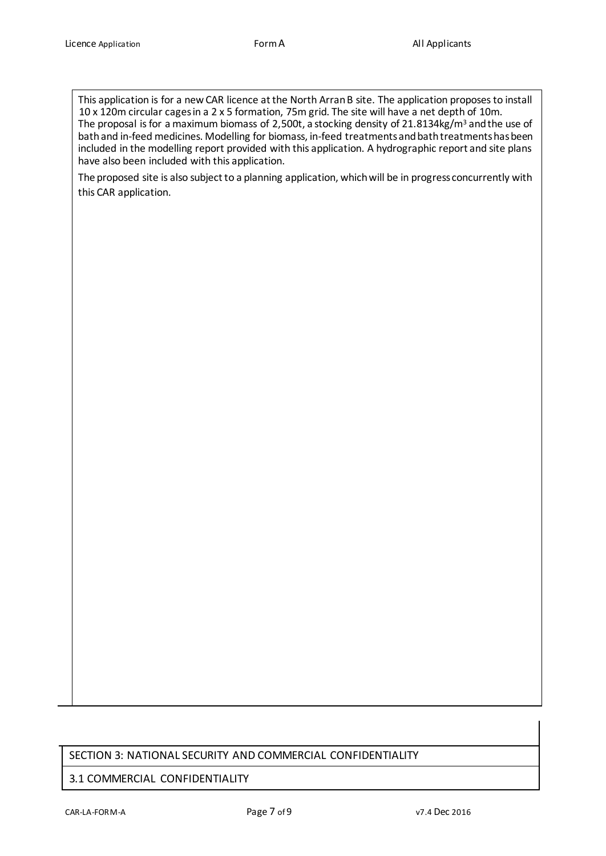This application is for a new CAR licence at the North Arran B site. The application proposes to install 10 x 120m circular cages in a 2 x 5 formation, 75m grid. The site will have a net depth of 10m. The proposal is for a maximum biomass of 2,500t, a stocking density of 21.8134kg/m<sup>3</sup> and the use of bath and in-feed medicines. Modelling for biomass, in-feed treatments and bath treatments has been included in the modelling report provided with this application. A hydrographic report and site plans have also been included with this application.

The proposed site is also subject to a planning application, which will be in progress concurrently with this CAR application.

### SECTION 3: NATIONAL SECURITY AND COMMERCIAL CONFIDENTIALITY

#### 3.1 COMMERCIAL CONFIDENTIALITY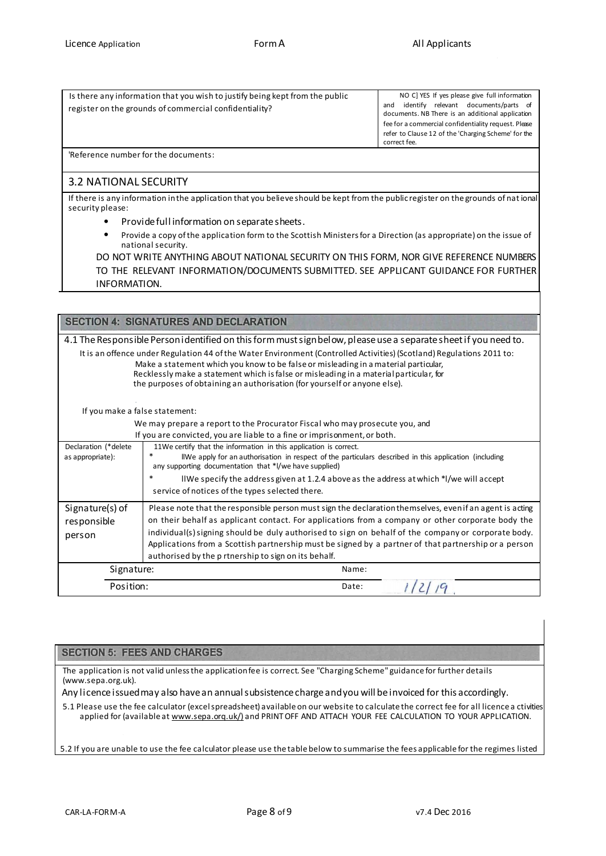| Is there any information that you wish to justify being kept from the public<br>register on the grounds of commercial confidentiality? | NO C] YES If yes please give full information<br>relevant documents/parts of<br>identifv<br>and<br>documents. NB There is an additional application<br>fee for a commercial confidentiality request. Please<br>refer to Clause 12 of the 'Charging Scheme' for the<br>correct fee. |
|----------------------------------------------------------------------------------------------------------------------------------------|------------------------------------------------------------------------------------------------------------------------------------------------------------------------------------------------------------------------------------------------------------------------------------|
| Poforonco numbor for the decuments                                                                                                     |                                                                                                                                                                                                                                                                                    |

'Reference number for the documents:

#### 3.2 NATIONAL SECURITY

If there is any information in the application that you believe should be kept from the public register on the grounds of nat ional security please:

- Provide full information on separate sheets.
- Provide a copy of the application form to the Scottish Ministers for a Direction (as appropriate) on the issue of national security.

DO NOT WRITE ANYTHING ABOUT NATIONAL SECURITY ON THIS FORM, NOR GIVE REFERENCE NUMBERS TO THE RELEVANT INFORMATION/DOCUMENTS SUBMITTED. SEE APPLICANT GUIDANCE FOR FURTHER INFORMATION.

|                                | <b>SECTION 4: SIGNATURES AND DECLARATION</b>                                                                                                                                                                                                                                                                                                                                        |  |  |  |  |  |
|--------------------------------|-------------------------------------------------------------------------------------------------------------------------------------------------------------------------------------------------------------------------------------------------------------------------------------------------------------------------------------------------------------------------------------|--|--|--|--|--|
|                                | 4.1 The Responsible Personidentified on this form must sign below, please use a separate sheet if you need to.                                                                                                                                                                                                                                                                      |  |  |  |  |  |
|                                | It is an offence under Regulation 44 of the Water Environment (Controlled Activities) (Scotland) Regulations 2011 to:<br>Make a statement which you know to be false or misleading in a material particular,<br>Recklessly make a statement which is false or misleading in a material particular, for<br>the purposes of obtaining an authorisation (for yourself or anyone else). |  |  |  |  |  |
| If you make a false statement: |                                                                                                                                                                                                                                                                                                                                                                                     |  |  |  |  |  |
|                                | We may prepare a report to the Procurator Fiscal who may prosecute you, and                                                                                                                                                                                                                                                                                                         |  |  |  |  |  |
|                                | If you are convicted, you are liable to a fine or imprisonment, or both.                                                                                                                                                                                                                                                                                                            |  |  |  |  |  |
| Declaration (*delete           | 11We certify that the information in this application is correct.                                                                                                                                                                                                                                                                                                                   |  |  |  |  |  |
| as appropriate):               | $\ast$<br>IIWe apply for an authorisation in respect of the particulars described in this application (including<br>any supporting documentation that *I/we have supplied)                                                                                                                                                                                                          |  |  |  |  |  |
|                                | $\ast$<br>IIWe specify the address given at 1.2.4 above as the address at which *I/we will accept                                                                                                                                                                                                                                                                                   |  |  |  |  |  |
|                                | service of notices of the types selected there.                                                                                                                                                                                                                                                                                                                                     |  |  |  |  |  |
| Signature(s) of                | Please note that the responsible person must sign the declaration themselves, even if an agent is acting                                                                                                                                                                                                                                                                            |  |  |  |  |  |
| responsible                    | on their behalf as applicant contact. For applications from a company or other corporate body the                                                                                                                                                                                                                                                                                   |  |  |  |  |  |
| person                         | individual(s) signing should be duly authorised to sign on behalf of the company or corporate body.                                                                                                                                                                                                                                                                                 |  |  |  |  |  |
|                                | Applications from a Scottish partnership must be signed by a partner of that partnership or a person                                                                                                                                                                                                                                                                                |  |  |  |  |  |
|                                | authorised by the p rtnership to sign on its behalf.                                                                                                                                                                                                                                                                                                                                |  |  |  |  |  |
| Signature:                     | Name:                                                                                                                                                                                                                                                                                                                                                                               |  |  |  |  |  |
| Position:                      | Date:                                                                                                                                                                                                                                                                                                                                                                               |  |  |  |  |  |

#### **SECTION 5: FEES AND CHARGES**

The application is not valid unless the application fee is correct. See "Charging Scheme" guidance for further details (www.sepa.org.uk).

Any licence issued may also have an annual subsistence charge and you will be invoiced for this accordingly.

5.1 Please use the fee calculator (excel spreadsheet) available on our website to calculate the correct fee for all licence a ctivities applied for (available at www.sepa.org.uk/) and PRINT OFF AND ATTACH YOUR FEE CALCULATION TO YOUR APPLICATION.

5.2 If you are unable to use the fee calculator please use the table below to summarise the fees applicable for the regimes listed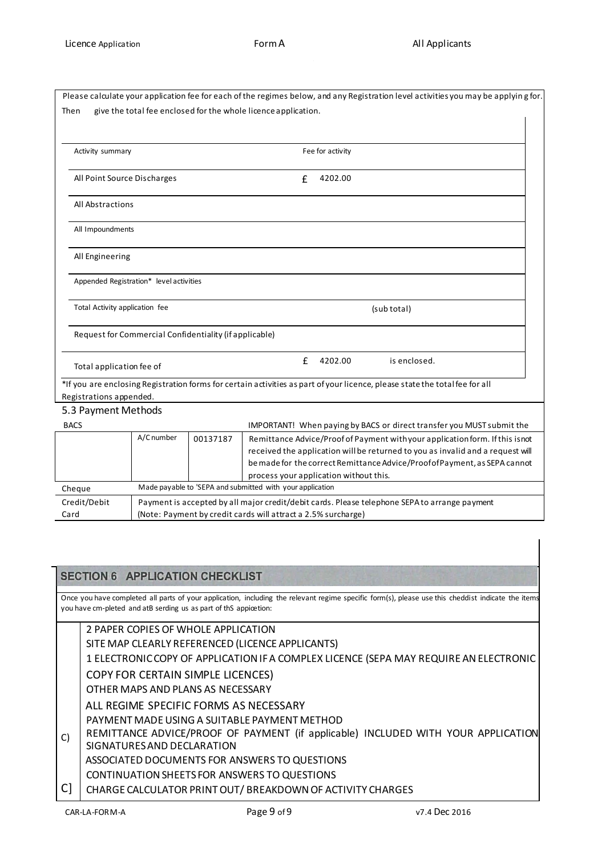|                                                                        |            |          | Please calculate your application fee for each of the regimes below, and any Registration level activities you may be applying for.                          |  |  |
|------------------------------------------------------------------------|------------|----------|--------------------------------------------------------------------------------------------------------------------------------------------------------------|--|--|
| Then<br>give the total fee enclosed for the whole licence application. |            |          |                                                                                                                                                              |  |  |
|                                                                        |            |          |                                                                                                                                                              |  |  |
|                                                                        |            |          |                                                                                                                                                              |  |  |
| Activity summary<br>All Point Source Discharges                        |            |          | Fee for activity                                                                                                                                             |  |  |
|                                                                        |            |          | 4202.00<br>£                                                                                                                                                 |  |  |
| All Abstractions                                                       |            |          |                                                                                                                                                              |  |  |
| All Impoundments                                                       |            |          |                                                                                                                                                              |  |  |
| All Engineering                                                        |            |          |                                                                                                                                                              |  |  |
| Appended Registration* level activities                                |            |          |                                                                                                                                                              |  |  |
| Total Activity application fee                                         |            |          | (sub total)                                                                                                                                                  |  |  |
| Request for Commercial Confidentiality (if applicable)                 |            |          |                                                                                                                                                              |  |  |
| Total application fee of                                               |            |          | £<br>4202.00<br>is enclosed.                                                                                                                                 |  |  |
|                                                                        |            |          | *If you are enclosing Registration forms for certain activities as part of your licence, please state the total fee for all                                  |  |  |
| Registrations appended.                                                |            |          |                                                                                                                                                              |  |  |
| 5.3 Payment Methods                                                    |            |          |                                                                                                                                                              |  |  |
| <b>BACS</b>                                                            |            |          | IMPORTANT! When paying by BACS or direct transfer you MUST submit the                                                                                        |  |  |
|                                                                        | A/C number | 00137187 | Remittance Advice/Proof of Payment with your application form. If this isnot                                                                                 |  |  |
|                                                                        |            |          | received the application will be returned to you as invalid and a request will<br>be made for the correct Remittance Advice/Proof of Payment, as SEPA cannot |  |  |
|                                                                        |            |          | process your application without this.                                                                                                                       |  |  |
| Cheque                                                                 |            |          | Made payable to 'SEPA and submitted with your application                                                                                                    |  |  |
| Credit/Debit                                                           |            |          | Payment is accepted by all major credit/debit cards. Please telephone SEPA to arrange payment                                                                |  |  |
| Card                                                                   |            |          | (Note: Payment by credit cards will attract a 2.5% surcharge)                                                                                                |  |  |

|    |                | <b>SECTION 6 APPLICATION CHECKLIST</b>                                                                                                                                                                                 |               |
|----|----------------|------------------------------------------------------------------------------------------------------------------------------------------------------------------------------------------------------------------------|---------------|
|    |                | Once you have completed all parts of your application, including the relevant regime specific form(s), please use this cheddist indicate the items<br>you have cm-pleted and atB serding us as part of thS appicetion: |               |
|    |                | 2 PAPER COPIES OF WHOLE APPLICATION                                                                                                                                                                                    |               |
|    |                | SITE MAP CLEARLY REFERENCED (LICENCE APPLICANTS)                                                                                                                                                                       |               |
|    |                | 1 ELECTRONIC COPY OF APPLICATION IF A COMPLEX LICENCE (SEPA MAY REQUIRE AN ELECTRONIC                                                                                                                                  |               |
|    |                | <b>COPY FOR CERTAIN SIMPLE LICENCES)</b>                                                                                                                                                                               |               |
|    |                | OTHER MAPS AND PLANS AS NECESSARY                                                                                                                                                                                      |               |
|    |                | ALL REGIME SPECIFIC FORMS AS NECESSARY                                                                                                                                                                                 |               |
|    |                | PAYMENT MADE USING A SUITABLE PAYMENT METHOD                                                                                                                                                                           |               |
| C) |                | REMITTANCE ADVICE/PROOF OF PAYMENT (if applicable) INCLUDED WITH YOUR APPLICATION<br>SIGNATURES AND DECLARATION                                                                                                        |               |
|    |                | ASSOCIATED DOCUMENTS FOR ANSWERS TO QUESTIONS                                                                                                                                                                          |               |
|    |                | CONTINUATION SHEETS FOR ANSWERS TO QUESTIONS                                                                                                                                                                           |               |
| C] |                | CHARGE CALCULATOR PRINT OUT/BREAKDOWN OF ACTIVITY CHARGES                                                                                                                                                              |               |
|    | CAR-LA-FOR M-A | Page 9 of 9                                                                                                                                                                                                            | v7.4 Dec 2016 |